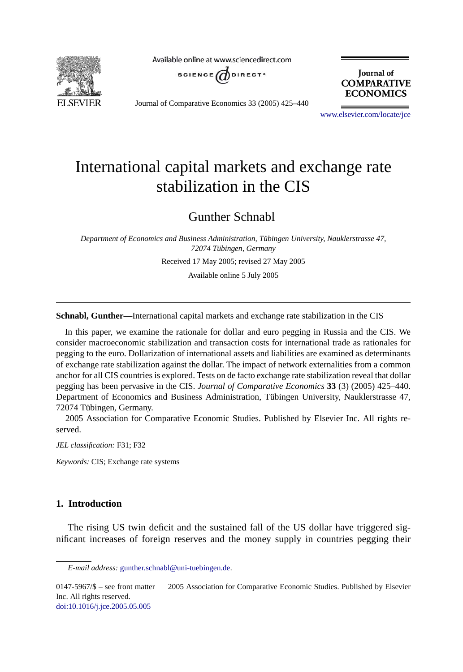

Available online at www.sciencedirect.com



Journal of **COMPARATIVE ECONOMICS** 

Journal of Comparative Economics 33 (2005) 425–440

[www.elsevier.com/locate/jce](http://www.elsevier.com/locate/jce)

## International capital markets and exchange rate stabilization in the CIS

Gunther Schnabl

*Department of Economics and Business Administration, Tübingen University, Nauklerstrasse 47, 72074 Tübingen, Germany*

Received 17 May 2005; revised 27 May 2005

Available online 5 July 2005

**Schnabl, Gunther**—International capital markets and exchange rate stabilization in the CIS

In this paper, we examine the rationale for dollar and euro pegging in Russia and the CIS. We consider macroeconomic stabilization and transaction costs for international trade as rationales for pegging to the euro. Dollarization of international assets and liabilities are examined as determinants of exchange rate stabilization against the dollar. The impact of network externalities from a common anchor for all CIS countries is explored. Tests on de facto exchange rate stabilization reveal that dollar pegging has been pervasive in the CIS. *Journal of Comparative Economics* **33** (3) (2005) 425–440. Department of Economics and Business Administration, Tübingen University, Nauklerstrasse 47, 72074 Tübingen, Germany.

 2005 Association for Comparative Economic Studies. Published by Elsevier Inc. All rights reserved.

*JEL classification:* F31; F32

*Keywords:* CIS; Exchange rate systems

## **1. Introduction**

The rising US twin deficit and the sustained fall of the US dollar have triggered significant increases of foreign reserves and the money supply in countries pegging their

 $0147-5967/\$  – see front matter  $\odot$  2005 Association for Comparative Economic Studies. Published by Elsevier Inc. All rights reserved. [doi:10.1016/j.jce.2005.05.005](http://dx.doi.org/10.1016/j.jce.2005.05.005)

*E-mail address:* [gunther.schnabl@uni-tuebingen.de.](mailto:gunther.schnabl@uni-tuebingen.de)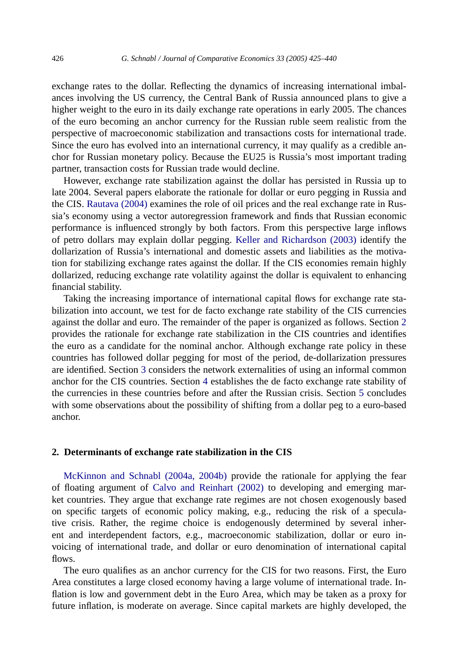exchange rates to the dollar. Reflecting the dynamics of increasing international imbalances involving the US currency, the Central Bank of Russia announced plans to give a higher weight to the euro in its daily exchange rate operations in early 2005. The chances of the euro becoming an anchor currency for the Russian ruble seem realistic from the perspective of macroeconomic stabilization and transactions costs for international trade. Since the euro has evolved into an international currency, it may qualify as a credible anchor for Russian monetary policy. Because the EU25 is Russia's most important trading partner, transaction costs for Russian trade would decline.

However, exchange rate stabilization against the dollar has persisted in Russia up to late 2004. Several papers elaborate the rationale for dollar or euro pegging in Russia and the CIS. [Rautava \(2004\)](#page--1-0) examines the role of oil prices and the real exchange rate in Russia's economy using a vector autoregression framework and finds that Russian economic performance is influenced strongly by both factors. From this perspective large inflows of petro dollars may explain dollar pegging. [Keller and Richardson \(2003\)](#page--1-0) identify the dollarization of Russia's international and domestic assets and liabilities as the motivation for stabilizing exchange rates against the dollar. If the CIS economies remain highly dollarized, reducing exchange rate volatility against the dollar is equivalent to enhancing financial stability.

Taking the increasing importance of international capital flows for exchange rate stabilization into account, we test for de facto exchange rate stability of the CIS currencies against the dollar and euro. The remainder of the paper is organized as follows. Section 2 provides the rationale for exchange rate stabilization in the CIS countries and identifies the euro as a candidate for the nominal anchor. Although exchange rate policy in these countries has followed dollar pegging for most of the period, de-dollarization pressures are identified. Section [3](#page--1-0) considers the network externalities of using an informal common anchor for the CIS countries. Section [4](#page--1-0) establishes the de facto exchange rate stability of the currencies in these countries before and after the Russian crisis. Section [5](#page--1-0) concludes with some observations about the possibility of shifting from a dollar peg to a euro-based anchor.

## **2. Determinants of exchange rate stabilization in the CIS**

[McKinnon and Schnabl \(2004a, 2004b\)](#page--1-0) provide the rationale for applying the fear of floating argument of [Calvo and Reinhart \(2002\)](#page--1-0) to developing and emerging market countries. They argue that exchange rate regimes are not chosen exogenously based on specific targets of economic policy making, e.g., reducing the risk of a speculative crisis. Rather, the regime choice is endogenously determined by several inherent and interdependent factors, e.g., macroeconomic stabilization, dollar or euro invoicing of international trade, and dollar or euro denomination of international capital flows.

The euro qualifies as an anchor currency for the CIS for two reasons. First, the Euro Area constitutes a large closed economy having a large volume of international trade. Inflation is low and government debt in the Euro Area, which may be taken as a proxy for future inflation, is moderate on average. Since capital markets are highly developed, the